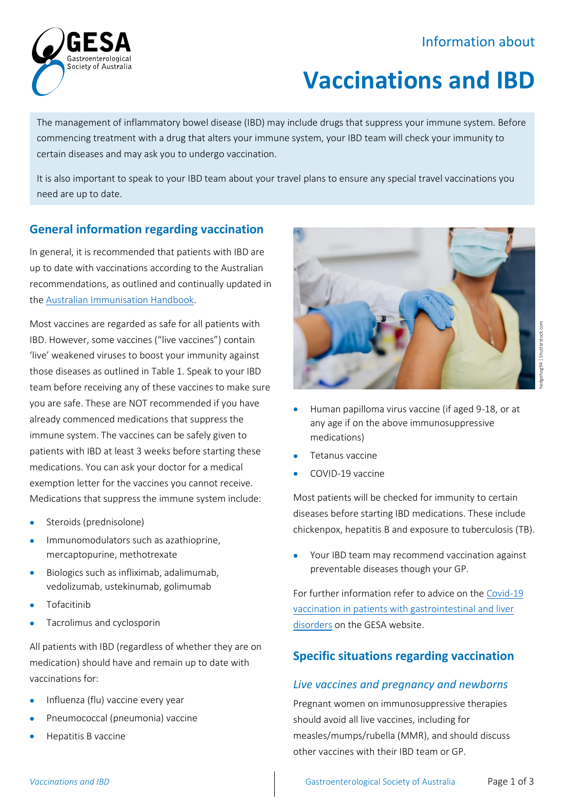## Information about



# **Vaccinations and IBD**

The management of inflammatory bowel disease (IBD) may include drugs that suppress your immune system. Before commencing treatment with a drug that alters your immune system, your IBD team will check your immunity to certain diseases and may ask you to undergo vaccination.

It is also important to speak to your IBD team about your travel plans to ensure any special travel vaccinations you need are up to date.

#### **General information regarding vaccination**

In general, it is recommended that patients with IBD are up to date with vaccinations according to the Australian recommendations, as outlined and continually updated in th[e Australian Immunisation Handbook.](https://immunisationhandbook.health.gov.au/)

Most vaccines are regarded as safe for all patients with IBD. However, some vaccines ("live vaccines") contain 'live' weakened viruses to boost your immunity against those diseases as outlined in Table 1. Speak to your IBD team before receiving any of these vaccines to make sure you are safe. These are NOT recommended if you have already commenced medications that suppress the immune system. The vaccines can be safely given to patients with IBD at least 3 weeks before starting these medications. You can ask your doctor for a medical exemption letter for the vaccines you cannot receive. Medications that suppress the immune system include:

- Steroids (prednisolone)
- Immunomodulators such as azathioprine, mercaptopurine, methotrexate
- Biologics such as infliximab, adalimumab, vedolizumab, ustekinumab, golimumab
- **Tofacitinib**
- Tacrolimus and cyclosporin

All patients with IBD (regardless of whether they are on medication) should have and remain up to date with vaccinations for:

- Influenza (flu) vaccine every year
- Pneumococcal (pneumonia) vaccine
- Hepatitis B vaccine



- Human papilloma virus vaccine (if aged 9-18, or at any age if on the above immunosuppressive medications)
- Tetanus vaccine
- COVID-19 vaccine

Most patients will be checked for immunity to certain diseases before starting IBD medications. These include chickenpox, hepatitis B and exposure to tuberculosis (TB).

Your IBD team may recommend vaccination against preventable diseases though your GP.

For further information refer to advice on th[e Covid-19](https://www.gesa.org.au/education/covid-19/)  [vaccination in patients with gastrointestinal and liver](https://www.gesa.org.au/education/covid-19/)  [disorders](https://www.gesa.org.au/education/covid-19/) on the GESA website.

### **Specific situations regarding vaccination**

#### *Live vaccines and pregnancy and newborns*

Pregnant women on immunosuppressive therapies should avoid all live vaccines, including for measles/mumps/rubella (MMR), and should discuss other vaccines with their IBD team or GP.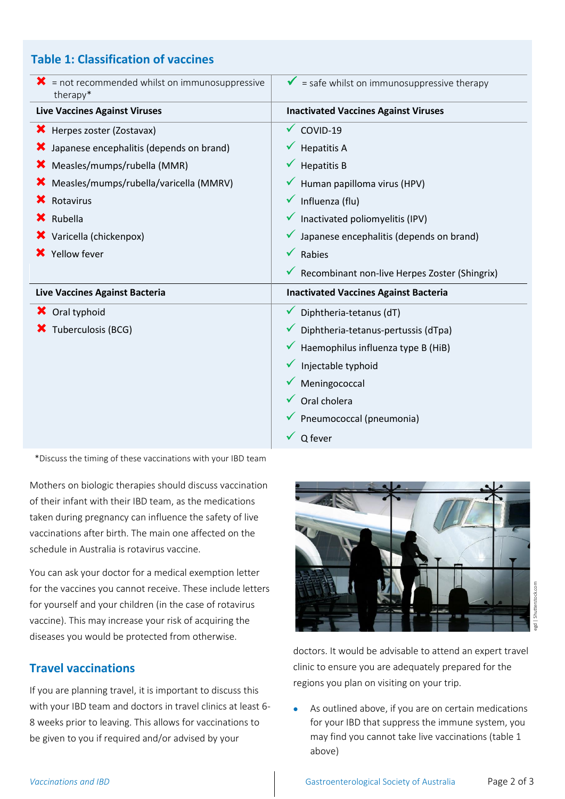#### **Table 1: Classification of vaccines**

| $\mathbf{\times}$ = not recommended whilst on immunosuppressive<br>therapy* | $\checkmark$ = safe whilst on immunosuppressive therapy |
|-----------------------------------------------------------------------------|---------------------------------------------------------|
| <b>Live Vaccines Against Viruses</b>                                        | <b>Inactivated Vaccines Against Viruses</b>             |
| <b>X</b> Herpes zoster (Zostavax)                                           | $\checkmark$ COVID-19                                   |
| X Japanese encephalitis (depends on brand)                                  | $\checkmark$ Hepatitis A                                |
| <b>X</b> Measles/mumps/rubella (MMR)                                        | <b>Hepatitis B</b>                                      |
| <b>X</b> Measles/mumps/rubella/varicella (MMRV)                             | Human papilloma virus (HPV)                             |
| <b>X</b> Rotavirus                                                          | Influenza (flu)                                         |
| <b>X</b> Rubella                                                            | $\checkmark$ Inactivated poliomyelitis (IPV)            |
| X Varicella (chickenpox)                                                    | $\checkmark$ Japanese encephalitis (depends on brand)   |
| X Yellow fever                                                              | $\sqrt{\phantom{a}}$ Rabies                             |
|                                                                             | ◆ Recombinant non-live Herpes Zoster (Shingrix)         |
| Live Vaccines Against Bacteria                                              | <b>Inactivated Vaccines Against Bacteria</b>            |
| X Oral typhoid                                                              | Diphtheria-tetanus (dT)                                 |
| X Tuberculosis (BCG)                                                        | $\checkmark$ Diphtheria-tetanus-pertussis (dTpa)        |
|                                                                             | $\checkmark$ Haemophilus influenza type B (HiB)         |
|                                                                             | Injectable typhoid                                      |
|                                                                             | Meningococcal                                           |
|                                                                             | Oral cholera                                            |
|                                                                             | Pneumococcal (pneumonia)                                |
|                                                                             | Q fever                                                 |

\*Discuss the timing of these vaccinations with your IBD team

Mothers on biologic therapies should discuss vaccination of their infant with their IBD team, as the medications taken during pregnancy can influence the safety of live vaccinations after birth. The main one affected on the schedule in Australia is rotavirus vaccine.

You can ask your doctor for a medical exemption letter for the vaccines you cannot receive. These include letters for yourself and your children (in the case of rotavirus vaccine). This may increase your risk of acquiring the diseases you would be protected from otherwise.

#### **Travel vaccinations**

If you are planning travel, it is important to discuss this with your IBD team and doctors in travel clinics at least 6- 8 weeks prior to leaving. This allows for vaccinations to be given to you if required and/or advised by your



doctors. It would be advisable to attend an expert travel clinic to ensure you are adequately prepared for the regions you plan on visiting on your trip.

As outlined above, if you are on certain medications for your IBD that suppress the immune system, you may find you cannot take live vaccinations (table 1 above)